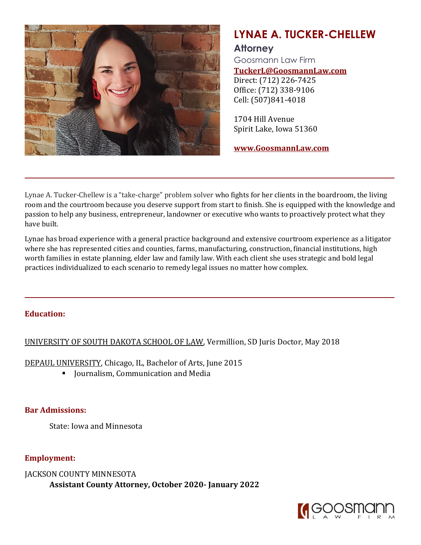

# **LYNAE A. TUCKER-CHELLEW**

# **Attorney**

Goosmann Law Firm **TuckerL@GoosmannLaw.com** Direct: (712) 226-7425

Office: (712) 338-9106 Cell: (507)841-4018

1704 Hill Avenue Spirit Lake, Iowa 51360

**www.GoosmannLaw.com**

Lynae A. Tucker-Chellew is a "take-charge" problem solver who fights for her clients in the boardroom, the living room and the courtroom because you deserve support from start to finish. She is equipped with the knowledge and passion to help any business, entrepreneur, landowner or executive who wants to proactively protect what they have built.

Lynae has broad experience with a general practice background and extensive courtroom experience as a litigator where she has represented cities and counties, farms, manufacturing, construction, financial institutions, high worth families in estate planning, elder law and family law. With each client she uses strategic and bold legal practices individualized to each scenario to remedy legal issues no matter how complex.

#### **Education:**

#### UNIVERSITY OF SOUTH DAKOTA SCHOOL OF LAW, Vermillion, SD Juris Doctor, May 2018

DEPAUL UNIVERSITY, Chicago, IL, Bachelor of Arts, June 2015

■ Journalism, Communication and Media

#### **Bar Admissions:**

State: Iowa and Minnesota

**Employment:**

JACKSON COUNTY MINNESOTA **Assistant County Attorney, October 2020- January 2022**

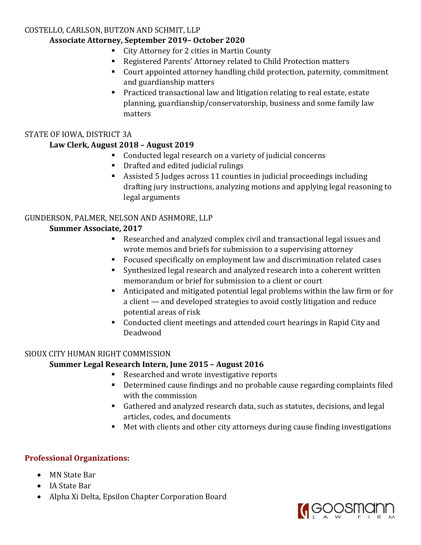#### COSTELLO, CARLSON, BUTZON AND SCHMIT, LLP

## **Associate Attorney, September 2019– October 2020**

- City Attorney for 2 cities in Martin County
- Registered Parents' Attorney related to Child Protection matters
- Court appointed attorney handling child protection, paternity, commitment and guardianship matters
- Practiced transactional law and litigation relating to real estate, estate planning, guardianship/conservatorship, business and some family law matters

## STATE OF IOWA, DISTRICT 3A

## **Law Clerk, August 2018 – August 2019**

- Conducted legal research on a variety of judicial concerns
- Drafted and edited judicial rulings
- Assisted 5 Judges across 11 counties in judicial proceedings including drafting jury instructions, analyzing motions and applying legal reasoning to legal arguments

# GUNDERSON, PALMER, NELSON AND ASHMORE, LLP

## **Summer Associate, 2017**

- Researched and analyzed complex civil and transactional legal issues and wrote memos and briefs for submission to a supervising attorney
- Focused specifically on employment law and discrimination related cases
- Synthesized legal research and analyzed research into a coherent written memorandum or brief for submission to a client or court
- Anticipated and mitigated potential legal problems within the law firm or for a client — and developed strategies to avoid costly litigation and reduce potential areas of risk
- Conducted client meetings and attended court hearings in Rapid City and Deadwood

# SIOUX CITY HUMAN RIGHT COMMISSION

# **Summer Legal Research Intern, June 2015 – August 2016**

- Researched and wrote investigative reports
- Determined cause findings and no probable cause regarding complaints filed with the commission
- Gathered and analyzed research data, such as statutes, decisions, and legal articles, codes, and documents
- Met with clients and other city attorneys during cause finding investigations

# **Professional Organizations:**

- MN State Bar
- IA State Bar
- Alpha Xi Delta, Epsilon Chapter Corporation Board